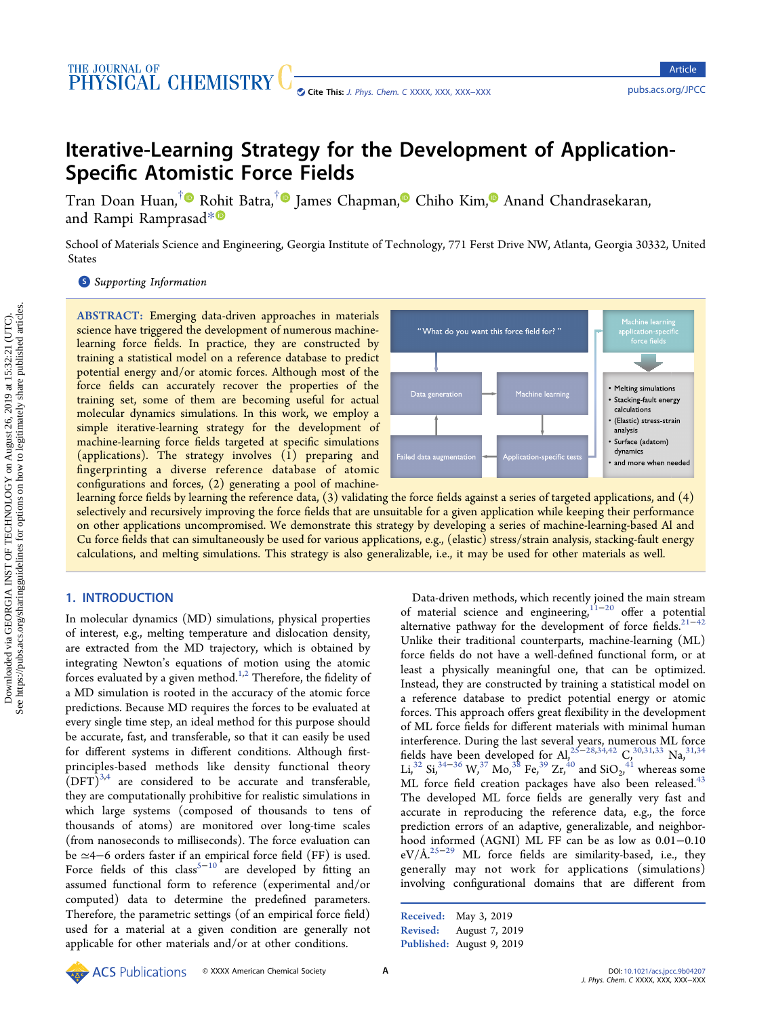# Iterative-Learning Strategy for the Development of Application-Specific Atomistic Force Fields

Tran Doan Huan,<sup>[†](#page-6-0)</sup> Rohit Batra,<sup>†</sup> James Chapman, Chiho Kim, Anand Chandrasekaran, and Rampi Ramprasad[\\*](#page-6-0)

School of Materials Science and Engineering, Georgia Institute of Technology, 771 Ferst Drive NW, Atlanta, Georgia 30332, United States

**S** [Supporting Information](#page-6-0)

ABSTRACT: Emerging data-driven approaches in materials science have triggered the development of numerous machinelearning force fields. In practice, they are constructed by training a statistical model on a reference database to predict potential energy and/or atomic forces. Although most of the force fields can accurately recover the properties of the training set, some of them are becoming useful for actual molecular dynamics simulations. In this work, we employ a simple iterative-learning strategy for the development of machine-learning force fields targeted at specific simulations (applications). The strategy involves (1) preparing and fingerprinting a diverse reference database of atomic configurations and forces, (2) generating a pool of machine-



learning force fields by learning the reference data, (3) validating the force fields against a series of targeted applications, and (4) selectively and recursively improving the force fields that are unsuitable for a given application while keeping their performance on other applications uncompromised. We demonstrate this strategy by developing a series of machine-learning-based Al and Cu force fields that can simultaneously be used for various applications, e.g., (elastic) stress/strain analysis, stacking-fault energy calculations, and melting simulations. This strategy is also generalizable, i.e., it may be used for other materials as well.

## 1. INTRODUCTION

In molecular dynamics (MD) simulations, physical properties of interest, e.g., melting temperature and dislocation density, are extracted from the MD trajectory, which is obtained by integrating Newton's equations of motion using the atomic forces evaluated by a given method.<sup>1,2</sup> Therefore, the fidelity of a MD simulation is rooted in the accuracy of the atomic force predictions. Because MD requires the forces to be evaluated at every single time step, an ideal method for this purpose should be accurate, fast, and transferable, so that it can easily be used for different systems in different conditions. Although firstprinciples-based methods like density functional theory  $(DFT)^{3,4}$  $(DFT)^{3,4}$  $(DFT)^{3,4}$  are considered to be accurate and transferable, they are computationally prohibitive for realistic simulations in which large systems (composed of thousands to tens of thousands of atoms) are monitored over long-time scales (from nanoseconds to milliseconds). The force evaluation can be ≃4−6 orders faster if an empirical force field (FF) is used. Force fields of this class<sup>5-[10](#page-6-0)</sup> are developed by fitting an assumed functional form to reference (experimental and/or computed) data to determine the predefined parameters. Therefore, the parametric settings (of an empirical force field) used for a material at a given condition are generally not applicable for other materials and/or at other conditions.

Data-driven methods, which recently joined the main stream of material science and engineering[,11](#page-6-0)<sup>−</sup>[20](#page-6-0) offer a potential alternative pathway for the development of force fields.<sup>21-[42](#page-7-0)</sup> Unlike their traditional counterparts, machine-learning (ML) force fields do not have a well-defined functional form, or at least a physically meaningful one, that can be optimized. Instead, they are constructed by training a statistical model on a reference database to predict potential energy or atomic forces. This approach offers great flexibility in the development of ML force fields for different materials with minimal human interference. During the last several years, numerous ML force fields have been developed for Al,<sup>[25](#page-6-0)–[28,34](#page-6-0),[42](#page-7-0)</sup> C<sub>2</sub><sup>[30](#page-6-0),[31,33](#page-6-0)</sup> Na,<sup>[31,34](#page-6-0)</sup> Li,<sup>[32](#page-6-0)</sup> Si,<sup>[34](#page-6-0)–[36](#page-7-0)</sup> W,<sup>[37](#page-7-0)</sup> Mo,<sup>[38](#page-7-0)</sup> Fe,<sup>[39](#page-7-0)</sup> Zr,<sup>[40](#page-7-0)</sup> and SiO<sub>2</sub>,<sup>[41](#page-7-0)</sup> whereas some ML force field creation packages have also been released.<sup>43</sup> The developed ML force fields are generally very fast and accurate in reproducing the reference data, e.g., the force prediction errors of an adaptive, generalizable, and neighborhood informed (AGNI) ML FF can be as low as 0.01−0.10 eV/Å.<sup>[25](#page-6-0)−[29](#page-6-0)</sup> ML force fields are similarity-based, i.e., they generally may not work for applications (simulations) involving configurational domains that are different from

Received: May 3, 2019 Revised: August 7, 2019 Published: August 9, 2019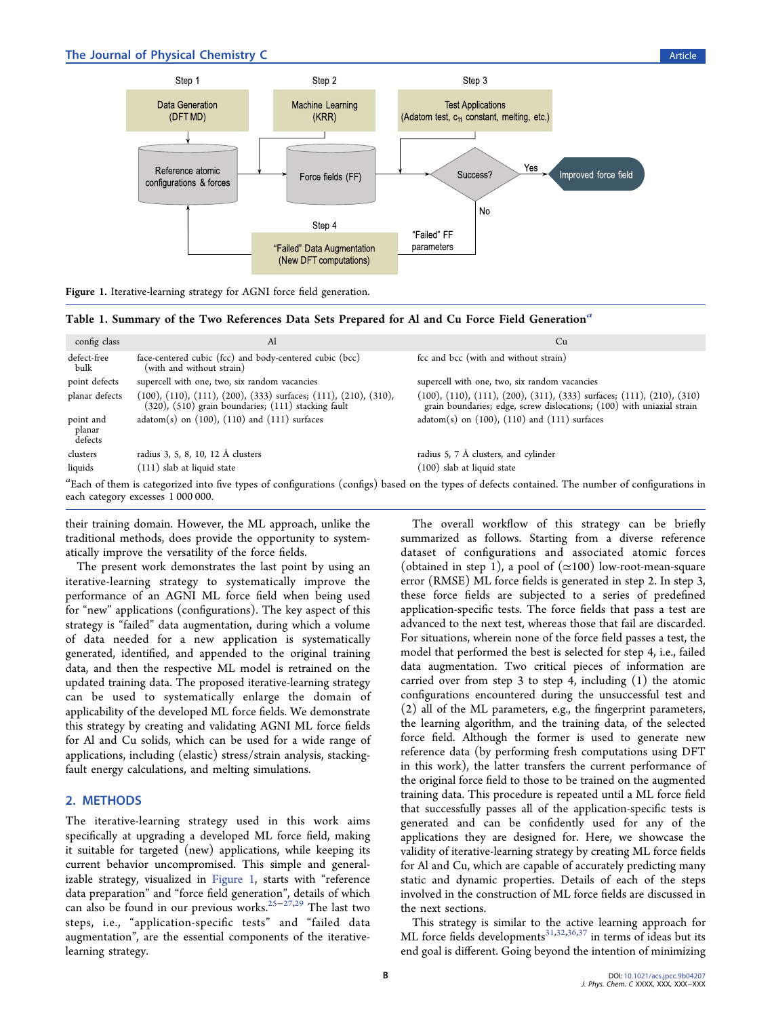## <span id="page-1-0"></span>The Journal of Physical Chemistry C and the Second Second Second Second Second Second Second Second Second Second Second Second Second Second Second Second Second Second Second Second Second Second Second Second Second Sec



Table 1. Summary of the Two References Data Sets Prepared for Al and Cu Force Field Generation<sup>a</sup>

| config class                   | Al                                                                                                                                                    | Cu                                                                                                                                                            |
|--------------------------------|-------------------------------------------------------------------------------------------------------------------------------------------------------|---------------------------------------------------------------------------------------------------------------------------------------------------------------|
| defect-free<br>bulk            | face-centered cubic (fcc) and body-centered cubic (bcc)<br>(with and without strain)                                                                  | fcc and bcc (with and without strain)                                                                                                                         |
| point defects                  | supercell with one, two, six random vacancies                                                                                                         | supercell with one, two, six random vacancies                                                                                                                 |
| planar defects                 | $(100)$ , $(110)$ , $(111)$ , $(200)$ , $(333)$ surfaces; $(111)$ , $(210)$ , $(310)$ ,<br>$(320)$ , $(510)$ grain boundaries; $(111)$ stacking fault | (100), (110), (111), (200), (311), (333) surfaces; (111), (210), (310)<br>grain boundaries; edge, screw dislocations; (100) with uniaxial strain              |
| point and<br>planar<br>defects | $adatom(s)$ on $(100)$ , $(110)$ and $(111)$ surfaces                                                                                                 | $adatom(s)$ on $(100)$ , $(110)$ and $(111)$ surfaces                                                                                                         |
| clusters                       | radius 3, 5, 8, 10, 12 Å clusters                                                                                                                     | radius 5, 7 Å clusters, and cylinder                                                                                                                          |
| liquids                        | (111) slab at liquid state                                                                                                                            | (100) slab at liquid state                                                                                                                                    |
|                                |                                                                                                                                                       | <sup>a</sup> Each of them is categorized into five types of configurations (configs) based on the types of defects contained. The number of configurations in |

of configurations (configs) based on the types of defects contained. The number of configurations in each category excesses 1 000 000.

their training domain. However, the ML approach, unlike the traditional methods, does provide the opportunity to systematically improve the versatility of the force fields.

The present work demonstrates the last point by using an iterative-learning strategy to systematically improve the performance of an AGNI ML force field when being used for "new" applications (configurations). The key aspect of this strategy is "failed" data augmentation, during which a volume of data needed for a new application is systematically generated, identified, and appended to the original training data, and then the respective ML model is retrained on the updated training data. The proposed iterative-learning strategy can be used to systematically enlarge the domain of applicability of the developed ML force fields. We demonstrate this strategy by creating and validating AGNI ML force fields for Al and Cu solids, which can be used for a wide range of applications, including (elastic) stress/strain analysis, stackingfault energy calculations, and melting simulations.

# 2. METHODS

The iterative-learning strategy used in this work aims specifically at upgrading a developed ML force field, making it suitable for targeted (new) applications, while keeping its current behavior uncompromised. This simple and generalizable strategy, visualized in Figure 1, starts with "reference data preparation" and "force field generation", details of which can also be found in our previous works.[25](#page-6-0)<sup>−</sup>[27](#page-6-0),[29](#page-6-0) The last two steps, i.e., "application-specific tests" and "failed data augmentation", are the essential components of the iterativelearning strategy.

The overall workflow of this strategy can be briefly summarized as follows. Starting from a diverse reference dataset of configurations and associated atomic forces (obtained in step 1), a pool of  $(\simeq 100)$  low-root-mean-square error (RMSE) ML force fields is generated in step 2. In step 3, these force fields are subjected to a series of predefined application-specific tests. The force fields that pass a test are advanced to the next test, whereas those that fail are discarded. For situations, wherein none of the force field passes a test, the model that performed the best is selected for step 4, i.e., failed data augmentation. Two critical pieces of information are carried over from step 3 to step 4, including (1) the atomic configurations encountered during the unsuccessful test and (2) all of the ML parameters, e.g., the fingerprint parameters, the learning algorithm, and the training data, of the selected force field. Although the former is used to generate new reference data (by performing fresh computations using DFT in this work), the latter transfers the current performance of the original force field to those to be trained on the augmented training data. This procedure is repeated until a ML force field that successfully passes all of the application-specific tests is generated and can be confidently used for any of the applications they are designed for. Here, we showcase the validity of iterative-learning strategy by creating ML force fields for Al and Cu, which are capable of accurately predicting many static and dynamic properties. Details of each of the steps involved in the construction of ML force fields are discussed in the next sections.

This strategy is similar to the active learning approach for ML force fields developments<sup>31,[32](#page-6-0),[36,37](#page-7-0)</sup> in terms of ideas but its end goal is different. Going beyond the intention of minimizing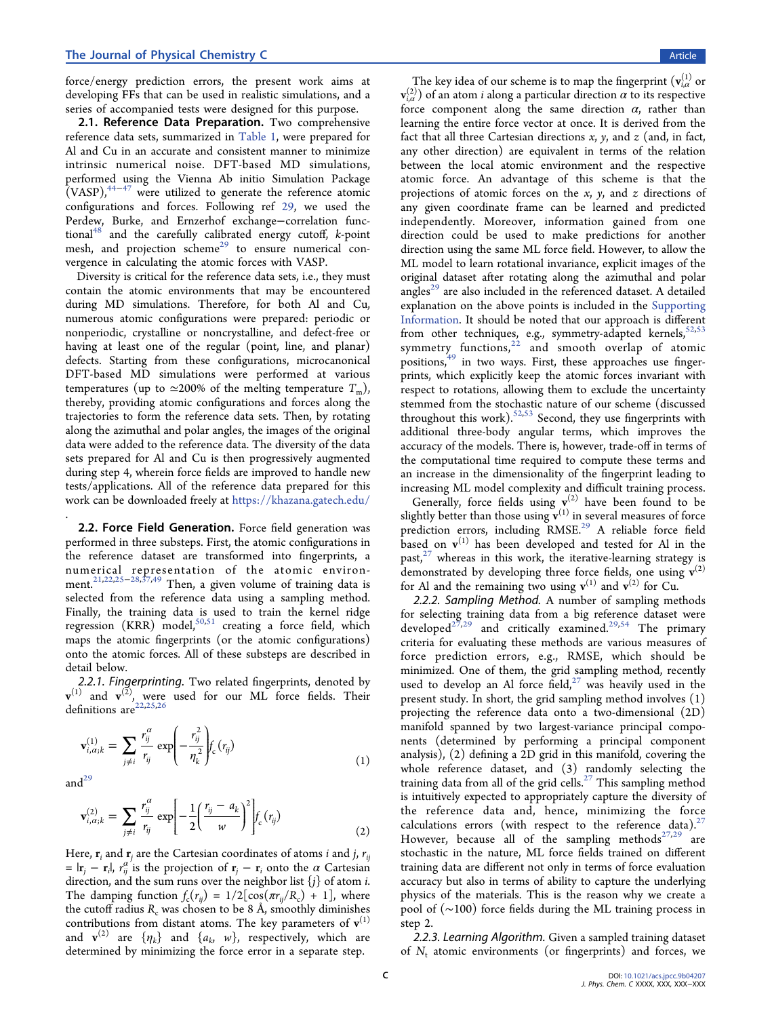<span id="page-2-0"></span>force/energy prediction errors, the present work aims at developing FFs that can be used in realistic simulations, and a series of accompanied tests were designed for this purpose.

2.1. Reference Data Preparation. Two comprehensive reference data sets, summarized in [Table 1,](#page-1-0) were prepared for Al and Cu in an accurate and consistent manner to minimize intrinsic numerical noise. DFT-based MD simulations, performed using the Vienna Ab initio Simulation Package  $(VASP)$ ,<sup>44−[47](#page-7-0)</sup> were utilized to generate the reference atomic configurations and forces. Following ref [29](#page-6-0), we used the Perdew, Burke, and Ernzerhof exchange−correlation functional $48$  and the carefully calibrated energy cutoff, k-point mesh, and projection scheme<sup>[29](#page-6-0)</sup> to ensure numerical convergence in calculating the atomic forces with VASP.

Diversity is critical for the reference data sets, i.e., they must contain the atomic environments that may be encountered during MD simulations. Therefore, for both Al and Cu, numerous atomic configurations were prepared: periodic or nonperiodic, crystalline or noncrystalline, and defect-free or having at least one of the regular (point, line, and planar) defects. Starting from these configurations, microcanonical DFT-based MD simulations were performed at various temperatures (up to  $\approx$ 200% of the melting temperature  $T_{\text{m}}$ ), thereby, providing atomic configurations and forces along the trajectories to form the reference data sets. Then, by rotating along the azimuthal and polar angles, the images of the original data were added to the reference data. The diversity of the data sets prepared for Al and Cu is then progressively augmented during step 4, wherein force fields are improved to handle new tests/applications. All of the reference data prepared for this work can be downloaded freely at <https://khazana.gatech.edu/>

2.2. Force Field Generation. Force field generation was performed in three substeps. First, the atomic configurations in the reference dataset are transformed into fingerprints, a numerical representation of the atomic environ-ment.<sup>[21](#page-6-0),[22](#page-6-0),[25](#page-6-0)−[28,](#page-6-0)[37,49](#page-7-0)</sup> Then, a given volume of training data is selected from the reference data using a sampling method. Finally, the training data is used to train the kernel ridge regression (KRR) model,<sup>[50,51](#page-7-0)</sup> creating a force field, which maps the atomic fingerprints (or the atomic configurations) onto the atomic forces. All of these substeps are described in detail below.

2.2.1. Fingerprinting. Two related fingerprints, denoted by  $v^{(1)}$  and  $v^{(\bar{2})}$ , were used for our ML force fields. Their definitions  $\arctan^2(22,25,26)$  $\arctan^2(22,25,26)$  $\arctan^2(22,25,26)$  $\arctan^2(22,25,26)$  $\arctan^2(22,25,26)$ 

$$
\mathbf{v}_{i,\alpha;k}^{(1)} = \sum_{j \neq i} \frac{r_{ij}^{\alpha}}{r_{ij}} \exp\left(-\frac{r_{ij}^2}{\eta_k^2}\right) f_c(r_{ij})
$$
\n(1)

and $^{29}$  $^{29}$  $^{29}$ 

.

$$
\mathbf{v}_{i,\alpha;k}^{(2)} = \sum_{j \neq i} \frac{r_{ij}^{\alpha}}{r_{ij}} \exp\left[-\frac{1}{2} \left(\frac{r_{ij} - a_k}{w}\right)^2\right] f_c(r_{ij})
$$
(2)

Here,  $\mathbf{r}_i$  and  $\mathbf{r}_j$  are the Cartesian coordinates of atoms *i* and *j*,  $r_{ii}$ =  $|\mathbf{r}_j - \mathbf{r}_i|$ ,  $r_{ij}^{\alpha'}$  is the projection of  $\mathbf{r}_j - \mathbf{r}_i$  onto the  $\alpha$  Cartesian direction, and the sum runs over the neighbor list  ${j}$  of atom *i*. The damping function  $f_c(r_{ii}) = 1/2[\cos(\pi r_{ii}/R_c) + 1]$ , where the cutoff radius  $R_c$  was chosen to be 8 Å, smoothly diminishes contributions from distant atoms. The key parameters of  $v^{(1)}$ and  $\mathbf{v}^{(2)}$  are  $\{\eta_k\}$  and  $\{a_k, w\}$ , respectively, which are determined by minimizing the force error in a separate step.

The key idea of our scheme is to map the fingerprint  $(\mathbf{v}_{i,\alpha}^{(1)})$  or  $\mathbf{v}_{i,\alpha}^{(2)}$ ) of an atom  $i$  along a particular direction  $\alpha$  to its respective force component along the same direction  $\alpha$ , rather than learning the entire force vector at once. It is derived from the fact that all three Cartesian directions  $x$ ,  $y$ , and  $z$  (and, in fact, any other direction) are equivalent in terms of the relation between the local atomic environment and the respective atomic force. An advantage of this scheme is that the projections of atomic forces on the  $x$ ,  $y$ , and  $z$  directions of any given coordinate frame can be learned and predicted independently. Moreover, information gained from one direction could be used to make predictions for another direction using the same ML force field. However, to allow the ML model to learn rotational invariance, explicit images of the original dataset after rotating along the azimuthal and polar angles<sup>[29](#page-6-0)</sup> are also included in the referenced dataset. A detailed explanation on the above points is included in the [Supporting](http://pubs.acs.org/doi/suppl/10.1021/acs.jpcc.9b04207/suppl_file/jp9b04207_si_001.pdf) [Information](http://pubs.acs.org/doi/suppl/10.1021/acs.jpcc.9b04207/suppl_file/jp9b04207_si_001.pdf). It should be noted that our approach is different from other techniques, e.g., symmetry-adapted kernels,  $52,53$ symmetry functions, $2^2$  and smooth overlap of atomic positions, $49$  in two ways. First, these approaches use fingerprints, which explicitly keep the atomic forces invariant with respect to rotations, allowing them to exclude the uncertainty stemmed from the stochastic nature of our scheme (discussed throughout this work). $52,53$  $52,53$  $52,53$  Second, they use fingerprints with additional three-body angular terms, which improves the accuracy of the models. There is, however, trade-off in terms of the computational time required to compute these terms and an increase in the dimensionality of the fingerprint leading to increasing ML model complexity and difficult training process.

Generally, force fields using  $v^{(2)}$  have been found to be slightly better than those using  $\check{\mathbf{v}}^{(1)}$  in several measures of force prediction errors, including RMSE.<sup>[29](#page-6-0)</sup> A reliable force field based on  $v^{(1)}$  has been developed and tested for Al in the past, $27$  whereas in this work, the iterative-learning strategy is demonstrated by developing three force fields, one using  $v^{(2)}$ for Al and the remaining two using  $v^{(1)}$  and  $v^{(2)}$  for Cu.

2.2.2. Sampling Method. A number of sampling methods for selecting training data from a big reference dataset were developed<sup>[27,29](#page-6-0)</sup> and critically examined.<sup>[29,](#page-6-0)[54](#page-7-0)</sup> The primary criteria for evaluating these methods are various measures of force prediction errors, e.g., RMSE, which should be minimized. One of them, the grid sampling method, recently used to develop an Al force field, $27$  was heavily used in the present study. In short, the grid sampling method involves (1) projecting the reference data onto a two-dimensional (2D) manifold spanned by two largest-variance principal components (determined by performing a principal component analysis), (2) defining a 2D grid in this manifold, covering the whole reference dataset, and (3) randomly selecting the training data from all of the grid cells.<sup>[27](#page-6-0)</sup> This sampling method is intuitively expected to appropriately capture the diversity of the reference data and, hence, minimizing the force calculations errors (with respect to the reference data).<sup>2</sup> However, because all of the sampling methods $27,29$  $27,29$  $27,29$  are stochastic in the nature, ML force fields trained on different training data are different not only in terms of force evaluation accuracy but also in terms of ability to capture the underlying physics of the materials. This is the reason why we create a pool of (∼100) force fields during the ML training process in step 2.

2.2.3. Learning Algorithm. Given a sampled training dataset of  $N_t$  atomic environments (or fingerprints) and forces, we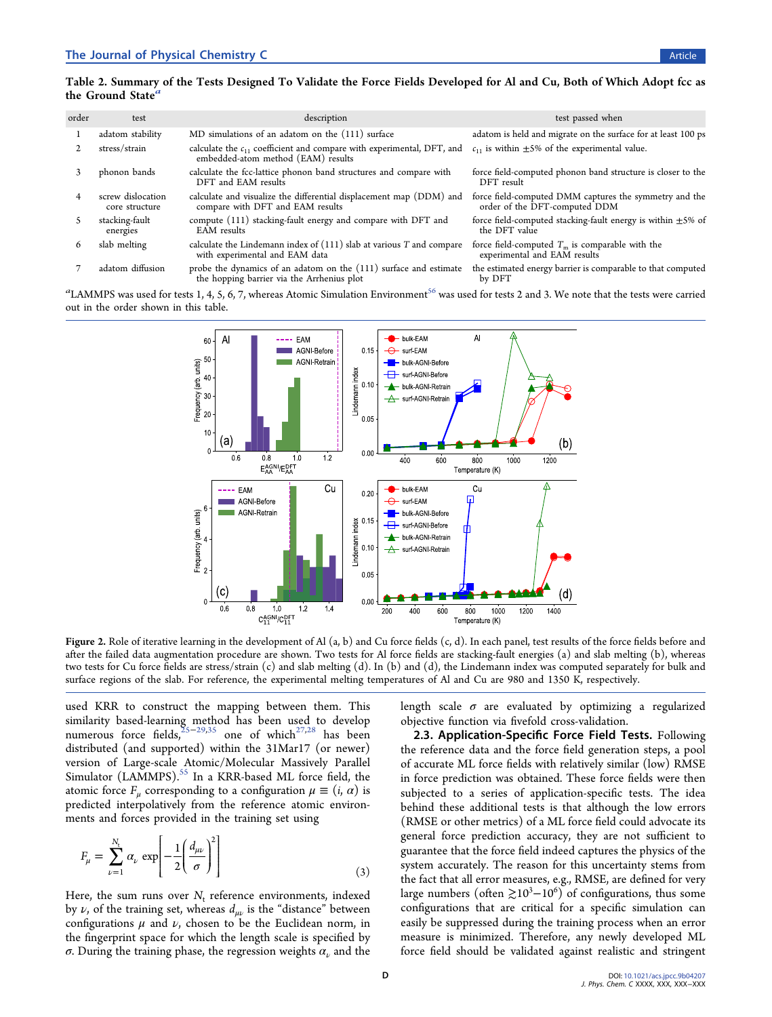## <span id="page-3-0"></span>Table 2. Summary of the Tests Designed To Validate the Force Fields Developed for Al and Cu, Both of Which Adopt fcc as the Ground State

| order | test                                | description                                                                                                      | test passed when                                                                        |
|-------|-------------------------------------|------------------------------------------------------------------------------------------------------------------|-----------------------------------------------------------------------------------------|
|       | adatom stability                    | MD simulations of an adatom on the (111) surface                                                                 | adatom is held and migrate on the surface for at least 100 ps                           |
|       | stress/strain                       | calculate the $c_{11}$ coefficient and compare with experimental, DFT, and<br>embedded-atom method (EAM) results | $c_{11}$ is within $\pm 5\%$ of the experimental value.                                 |
|       | phonon bands                        | calculate the fcc-lattice phonon band structures and compare with<br>DFT and EAM results                         | force field-computed phonon band structure is closer to the<br>DFT result               |
|       | screw dislocation<br>core structure | calculate and visualize the differential displacement map (DDM) and<br>compare with DFT and EAM results          | force field-computed DMM captures the symmetry and the<br>order of the DFT-computed DDM |
|       | stacking-fault<br>energies          | compute (111) stacking-fault energy and compare with DFT and<br><b>EAM</b> results                               | force field-computed stacking-fault energy is within $\pm$ 5% of<br>the DFT value       |
| O     | slab melting                        | calculate the Lindemann index of $(111)$ slab at various T and compare<br>with experimental and EAM data         | force field-computed $T_m$ is comparable with the<br>experimental and EAM results       |
|       | adatom diffusion                    | probe the dynamics of an adatom on the (111) surface and estimate<br>the hopping barrier via the Arrhenius plot  | the estimated energy barrier is comparable to that computed<br>by DFT                   |

 $^a$ LAMMPS was used for tests 1, 4, 5, 6, 7, whereas Atomic Simulation Environment $^{56}$  $^{56}$  $^{56}$  was used for tests 2 and 3. We note that the tests were carried out in the order shown in this table.



Figure 2. Role of iterative learning in the development of Al (a, b) and Cu force fields (c, d). In each panel, test results of the force fields before and after the failed data augmentation procedure are shown. Two tests for Al force fields are stacking-fault energies (a) and slab melting (b), whereas two tests for Cu force fields are stress/strain (c) and slab melting (d). In (b) and (d), the Lindemann index was computed separately for bulk and surface regions of the slab. For reference, the experimental melting temperatures of Al and Cu are 980 and 1350 K, respectively.

used KRR to construct the mapping between them. This similarity based-learning method has been used to develop numerous force fields,  $25-29,35$  $25-29,35$  $25-29,35$  $25-29,35$  one of which<sup>[27](#page-6-0),[28](#page-6-0)</sup> has been distributed (and supported) within the 31Mar17 (or newer) version of Large-scale Atomic/Molecular Massively Parallel Simulator (LAMMPS).<sup>55</sup> In a KRR-based ML force field, the atomic force  $F_{\mu}$  corresponding to a configuration  $\mu \equiv (i, \alpha)$  is predicted interpolatively from the reference atomic environments and forces provided in the training set using

$$
F_{\mu} = \sum_{\nu=1}^{N_{\rm t}} \alpha_{\nu} \exp\left[-\frac{1}{2}\left(\frac{d_{\mu\nu}}{\sigma}\right)^{2}\right]
$$
\n(3)

Here, the sum runs over  $N_t$  reference environments, indexed by  $\nu$ , of the training set, whereas  $d_{\mu\nu}$  is the "distance" between configurations  $\mu$  and  $\nu$ , chosen to be the Euclidean norm, in the fingerprint space for which the length scale is specified by σ. During the training phase, the regression weights  $\alpha_{\nu}$  and the length scale  $\sigma$  are evaluated by optimizing a regularized objective function via fivefold cross-validation.

2.3. Application-Specific Force Field Tests. Following the reference data and the force field generation steps, a pool of accurate ML force fields with relatively similar (low) RMSE in force prediction was obtained. These force fields were then subjected to a series of application-specific tests. The idea behind these additional tests is that although the low errors (RMSE or other metrics) of a ML force field could advocate its general force prediction accuracy, they are not sufficient to guarantee that the force field indeed captures the physics of the system accurately. The reason for this uncertainty stems from the fact that all error measures, e.g., RMSE, are defined for very large numbers (often  $\geq 10^3 - 10^6$ ) of configurations, thus some configurations that are critical for a specific simulation can easily be suppressed during the training process when an error measure is minimized. Therefore, any newly developed ML force field should be validated against realistic and stringent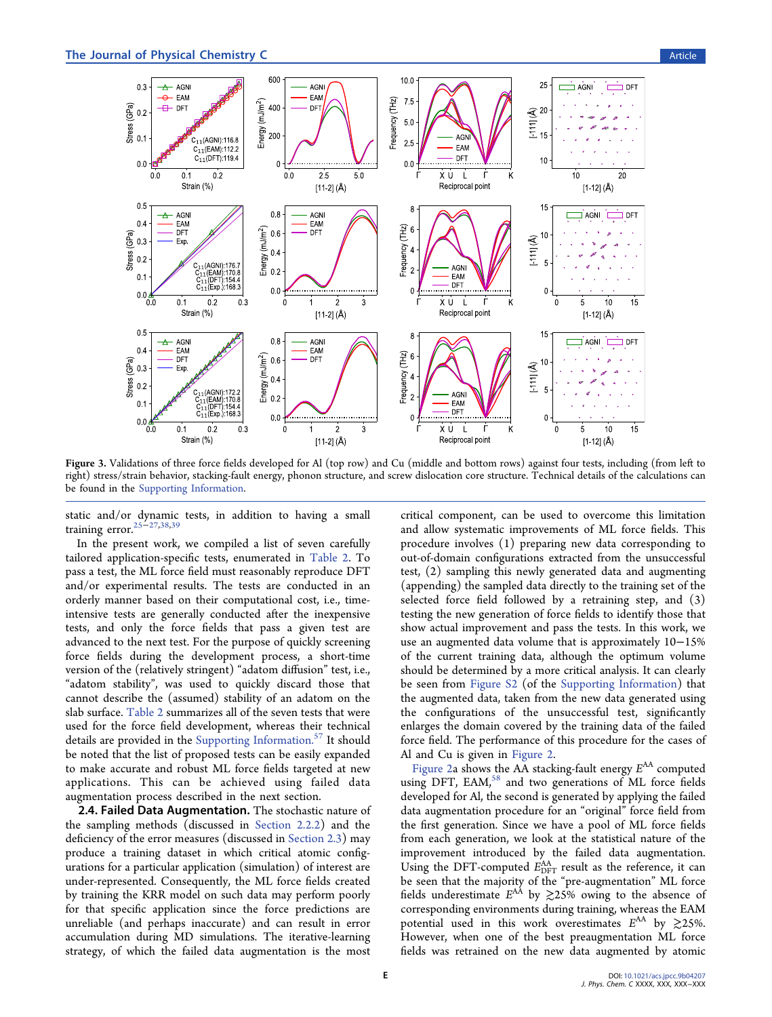<span id="page-4-0"></span>

Figure 3. Validations of three force fields developed for Al (top row) and Cu (middle and bottom rows) against four tests, including (from left to right) stress/strain behavior, stacking-fault energy, phonon structure, and screw dislocation core structure. Technical details of the calculations can be found in the [Supporting Information.](http://pubs.acs.org/doi/suppl/10.1021/acs.jpcc.9b04207/suppl_file/jp9b04207_si_001.pdf)

static and/or dynamic tests, in addition to having a small training error[.25](#page-6-0)<sup>−</sup>[27](#page-6-0)[,38](#page-7-0),[39](#page-7-0)

In the present work, we compiled a list of seven carefully tailored application-specific tests, enumerated in [Table 2](#page-3-0). To pass a test, the ML force field must reasonably reproduce DFT and/or experimental results. The tests are conducted in an orderly manner based on their computational cost, i.e., timeintensive tests are generally conducted after the inexpensive tests, and only the force fields that pass a given test are advanced to the next test. For the purpose of quickly screening force fields during the development process, a short-time version of the (relatively stringent) "adatom diffusion" test, i.e., "adatom stability", was used to quickly discard those that cannot describe the (assumed) stability of an adatom on the slab surface. [Table 2](#page-3-0) summarizes all of the seven tests that were used for the force field development, whereas their technical details are provided in the [Supporting Information.](http://pubs.acs.org/doi/suppl/10.1021/acs.jpcc.9b04207/suppl_file/jp9b04207_si_001.pdf)<sup>[57](#page-7-0)</sup> It should be noted that the list of proposed tests can be easily expanded to make accurate and robust ML force fields targeted at new applications. This can be achieved using failed data augmentation process described in the next section.

2.4. Failed Data Augmentation. The stochastic nature of the sampling methods (discussed in [Section 2.2.2](#page-2-0)) and the deficiency of the error measures (discussed in [Section 2.3](#page-3-0)) may produce a training dataset in which critical atomic configurations for a particular application (simulation) of interest are under-represented. Consequently, the ML force fields created by training the KRR model on such data may perform poorly for that specific application since the force predictions are unreliable (and perhaps inaccurate) and can result in error accumulation during MD simulations. The iterative-learning strategy, of which the failed data augmentation is the most

critical component, can be used to overcome this limitation and allow systematic improvements of ML force fields. This procedure involves (1) preparing new data corresponding to out-of-domain configurations extracted from the unsuccessful test, (2) sampling this newly generated data and augmenting (appending) the sampled data directly to the training set of the selected force field followed by a retraining step, and (3) testing the new generation of force fields to identify those that show actual improvement and pass the tests. In this work, we use an augmented data volume that is approximately 10−15% of the current training data, although the optimum volume should be determined by a more critical analysis. It can clearly be seen from [Figure S2](http://pubs.acs.org/doi/suppl/10.1021/acs.jpcc.9b04207/suppl_file/jp9b04207_si_001.pdf) (of the [Supporting Information](http://pubs.acs.org/doi/suppl/10.1021/acs.jpcc.9b04207/suppl_file/jp9b04207_si_001.pdf)) that the augmented data, taken from the new data generated using the configurations of the unsuccessful test, significantly enlarges the domain covered by the training data of the failed force field. The performance of this procedure for the cases of Al and Cu is given in [Figure 2](#page-3-0).

[Figure 2](#page-3-0)a shows the AA stacking-fault energy  $E^{AA}$  computed using DFT, EAM,<sup>[58](#page-7-0)</sup> and two generations of ML force fields developed for Al, the second is generated by applying the failed data augmentation procedure for an "original" force field from the first generation. Since we have a pool of ML force fields from each generation, we look at the statistical nature of the improvement introduced by the failed data augmentation. Using the DFT-computed  $E_{\text{DFT}}^{\text{AA}}$  result as the reference, it can be seen that the majority of the "pre-augmentation" ML force fields underestimate  $E^{AA}$  by  $\gtrsim$  25% owing to the absence of corresponding environments during training, whereas the EAM potential used in this work overestimates  $E^{AA}$  by  $\gtrsim$  25%. However, when one of the best preaugmentation ML force fields was retrained on the new data augmented by atomic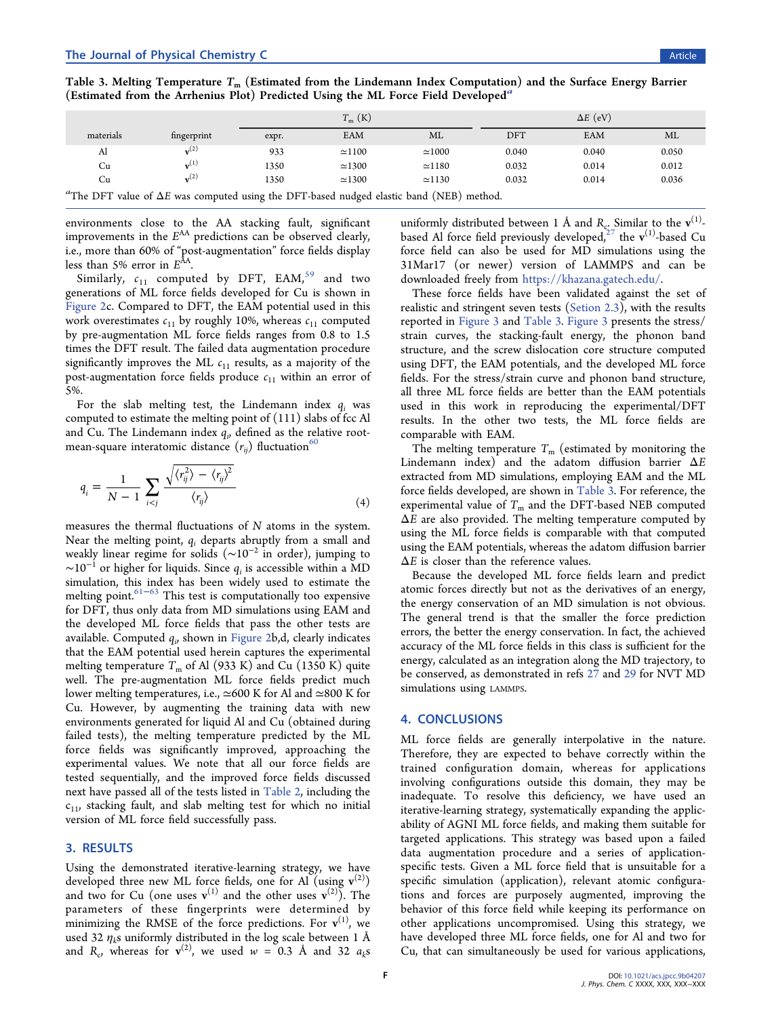Table 3. Melting Temperature  $T_m$  (Estimated from the Lindemann Index Computation) and the Surface Energy Barrier (Estimated from the Arrhenius Plot) Predicted Using the ML Force Field Developed<sup>a</sup>

|                                                                                                 |                    | $T_{\rm m}$ (K) |               | $\Delta E$ (eV) |            |       |       |  |  |  |
|-------------------------------------------------------------------------------------------------|--------------------|-----------------|---------------|-----------------|------------|-------|-------|--|--|--|
| materials                                                                                       | fingerprint        | expr.           | EAM           | ML              | <b>DFT</b> | EAM   | ML    |  |  |  |
| Al                                                                                              | $\mathbf{v}^{(2)}$ | 933             | $\simeq$ 1100 | $\simeq$ 1000   | 0.040      | 0.040 | 0.050 |  |  |  |
| Cu                                                                                              | $\mathbf{v}^{(1)}$ | 1350            | $\simeq$ 1300 | $\simeq$ 1180   | 0.032      | 0.014 | 0.012 |  |  |  |
| Cu                                                                                              | $\mathbf{v}^{(2)}$ | 1350            | $\simeq$ 1300 | $\simeq$ 1130   | 0.032      | 0.014 | 0.036 |  |  |  |
| "The DFT value of $\Delta E$ was computed using the DFT-based nudged elastic band (NEB) method. |                    |                 |               |                 |            |       |       |  |  |  |

environments close to the AA stacking fault, significant improvements in the  $E^{AA}$  predictions can be observed clearly, i.e., more than 60% of "post-augmentation" force fields display less than 5% error in  $E<sup>AA</sup>$ .

Similarly,  $c_{11}$  computed by DFT, EAM,<sup>[59](#page-7-0)</sup> and two generations of ML force fields developed for Cu is shown in [Figure 2c](#page-3-0). Compared to DFT, the EAM potential used in this work overestimates  $c_{11}$  by roughly 10%, whereas  $c_{11}$  computed by pre-augmentation ML force fields ranges from 0.8 to 1.5 times the DFT result. The failed data augmentation procedure significantly improves the ML  $c_{11}$  results, as a majority of the post-augmentation force fields produce  $c_{11}$  within an error of 5%.

For the slab melting test, the Lindemann index  $q_i$  was computed to estimate the melting point of (111) slabs of fcc Al and Cu. The Lindemann index  $q_{ij}$  defined as the relative rootmean-square interatomic distance  $(r_{ii})$  fluctuation<sup>[60](#page-7-0)</sup>

$$
q_i = \frac{1}{N-1} \sum_{i < j} \frac{\sqrt{\langle r_{ij}^2 \rangle - \langle r_{ij} \rangle^2}}{\langle r_{ij} \rangle} \tag{4}
$$

measures the thermal fluctuations of N atoms in the system. Near the melting point,  $q_i$  departs abruptly from a small and weakly linear regime for solids (∼10<sup>−</sup><sup>2</sup> in order), jumping to  $\sim$ 10<sup>-1</sup> or higher for liquids. Since  $q_i$  is accessible within a MD simulation, this index has been widely used to estimate the melting point.<sup>[61](#page-7-0)−[63](#page-7-0)</sup> This test is computationally too expensive for DFT, thus only data from MD simulations using EAM and the developed ML force fields that pass the other tests are available. Computed  $q_{\scriptscriptstyle \partial}$  shown in [Figure 2b](#page-3-0),d, clearly indicates that the EAM potential used herein captures the experimental melting temperature  $T_m$  of Al (933 K) and Cu (1350 K) quite well. The pre-augmentation ML force fields predict much lower melting temperatures, i.e., ≃600 K for Al and ≃800 K for Cu. However, by augmenting the training data with new environments generated for liquid Al and Cu (obtained during failed tests), the melting temperature predicted by the ML force fields was significantly improved, approaching the experimental values. We note that all our force fields are tested sequentially, and the improved force fields discussed next have passed all of the tests listed in [Table 2,](#page-3-0) including the  $c_{11}$ , stacking fault, and slab melting test for which no initial version of ML force field successfully pass.

## 3. RESULTS

Using the demonstrated iterative-learning strategy, we have developed three new ML force fields, one for Al (using  $v^{(2)}$ ) and two for Cu (one uses  $\mathbf{v}^{(1)}$  and the other uses  $\mathbf{v}^{(2)}$ ). The parameters of these fingerprints were determined by minimizing the RMSE of the force predictions. For  $v^{(1)}$ , we used 32  $\eta_k$ s uniformly distributed in the log scale between 1 Å and  $R_c$ , whereas for  $v^{(2)}$ , we used  $w = 0.3$  Å and 32  $a_k s$ 

uniformly distributed between 1 Å and  $R_{\rm cr}$  Similar to the  ${\bf v}^{(1)}$ based Al force field previously developed, $^{27}$  the  $\mathbf{v}^{(1)}$ -based Cu force field can also be used for MD simulations using the 31Mar17 (or newer) version of LAMMPS and can be downloaded freely from <https://khazana.gatech.edu/>.

These force fields have been validated against the set of realistic and stringent seven tests ([Setion 2.3\)](#page-3-0), with the results reported in [Figure 3](#page-4-0) and Table 3. [Figure 3](#page-4-0) presents the stress/ strain curves, the stacking-fault energy, the phonon band structure, and the screw dislocation core structure computed using DFT, the EAM potentials, and the developed ML force fields. For the stress/strain curve and phonon band structure, all three ML force fields are better than the EAM potentials used in this work in reproducing the experimental/DFT results. In the other two tests, the ML force fields are comparable with EAM.

The melting temperature  $T_m$  (estimated by monitoring the Lindemann index) and the adatom diffusion barrier  $\Delta E$ extracted from MD simulations, employing EAM and the ML force fields developed, are shown in Table 3. For reference, the experimental value of  $T_m$  and the DFT-based NEB computed  $\Delta E$  are also provided. The melting temperature computed by using the ML force fields is comparable with that computed using the EAM potentials, whereas the adatom diffusion barrier  $\Delta E$  is closer than the reference values.

Because the developed ML force fields learn and predict atomic forces directly but not as the derivatives of an energy, the energy conservation of an MD simulation is not obvious. The general trend is that the smaller the force prediction errors, the better the energy conservation. In fact, the achieved accuracy of the ML force fields in this class is sufficient for the energy, calculated as an integration along the MD trajectory, to be conserved, as demonstrated in refs [27](#page-6-0) and [29](#page-6-0) for NVT MD simulations using LAMMPS.

## 4. CONCLUSIONS

ML force fields are generally interpolative in the nature. Therefore, they are expected to behave correctly within the trained configuration domain, whereas for applications involving configurations outside this domain, they may be inadequate. To resolve this deficiency, we have used an iterative-learning strategy, systematically expanding the applicability of AGNI ML force fields, and making them suitable for targeted applications. This strategy was based upon a failed data augmentation procedure and a series of applicationspecific tests. Given a ML force field that is unsuitable for a specific simulation (application), relevant atomic configurations and forces are purposely augmented, improving the behavior of this force field while keeping its performance on other applications uncompromised. Using this strategy, we have developed three ML force fields, one for Al and two for Cu, that can simultaneously be used for various applications,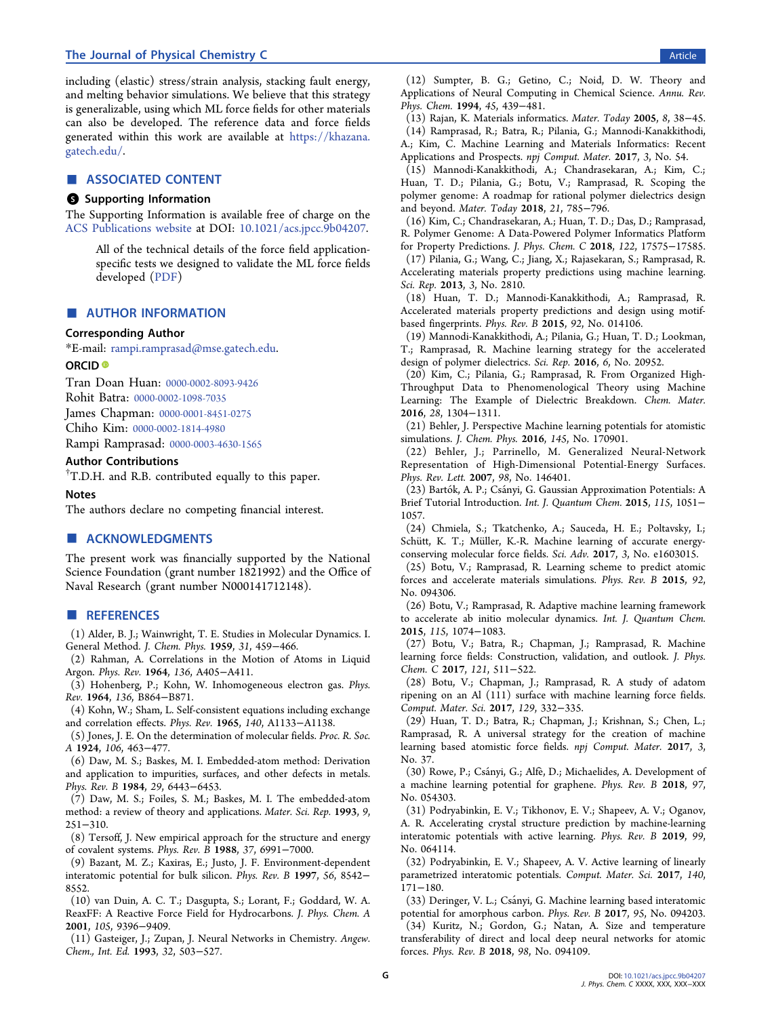## <span id="page-6-0"></span>The Journal of Physical Chemistry C **Article Contract Contract Contract Contract Contract Contract Contract Contract Contract Contract Contract Contract Contract Contract Contract Contract Contract Contract Contract Cont**

including (elastic) stress/strain analysis, stacking fault energy, and melting behavior simulations. We believe that this strategy is generalizable, using which ML force fields for other materials can also be developed. The reference data and force fields generated within this work are available at [https://khazana.](https://khazana.gatech.edu/) [gatech.edu/.](https://khazana.gatech.edu/)

## ■ ASSOCIATED CONTENT

## **6** Supporting Information

The Supporting Information is available free of charge on the [ACS Publications website](http://pubs.acs.org) at DOI: [10.1021/acs.jpcc.9b04207](http://pubs.acs.org/doi/abs/10.1021/acs.jpcc.9b04207).

> All of the technical details of the force field applicationspecific tests we designed to validate the ML force fields developed ([PDF\)](http://pubs.acs.org/doi/suppl/10.1021/acs.jpcc.9b04207/suppl_file/jp9b04207_si_001.pdf)

## ■ AUTHOR INFORMATION

#### Corresponding Author

\*E-mail: [rampi.ramprasad@mse.gatech.edu](mailto:rampi.ramprasad@mse.gatech.edu).

#### ORCID<sup>®</sup>

Tran Doan Huan: [0000-0002-8093-9426](http://orcid.org/0000-0002-8093-9426) Rohit Batra: [0000-0002-1098-7035](http://orcid.org/0000-0002-1098-7035) James Chapman: [0000-0001-8451-0275](http://orcid.org/0000-0001-8451-0275) Chiho Kim: [0000-0002-1814-4980](http://orcid.org/0000-0002-1814-4980)

Rampi Ramprasad: [0000-0003-4630-1565](http://orcid.org/0000-0003-4630-1565)

#### Author Contributions

† T.D.H. and R.B. contributed equally to this paper.

#### Notes

The authors declare no competing financial interest.

## ■ ACKNOWLEDGMENTS

The present work was financially supported by the National Science Foundation (grant number 1821992) and the Office of Naval Research (grant number N000141712148).

#### ■ REFERENCES

(1) Alder, B. J.; Wainwright, T. E. Studies in Molecular Dynamics. I. General Method. J. Chem. Phys. 1959, 31, 459−466.

(2) Rahman, A. Correlations in the Motion of Atoms in Liquid Argon. Phys. Rev. 1964, 136, A405−A411.

(3) Hohenberg, P.; Kohn, W. Inhomogeneous electron gas. Phys. Rev. 1964, 136, B864−B871.

(4) Kohn, W.; Sham, L. Self-consistent equations including exchange and correlation effects. Phys. Rev. 1965, 140, A1133−A1138.

(5) Jones, J. E. On the determination of molecular fields. Proc. R. Soc. A 1924, 106, 463−477.

(6) Daw, M. S.; Baskes, M. I. Embedded-atom method: Derivation and application to impurities, surfaces, and other defects in metals. Phys. Rev. B 1984, 29, 6443−6453.

(7) Daw, M. S.; Foiles, S. M.; Baskes, M. I. The embedded-atom method: a review of theory and applications. Mater. Sci. Rep. 1993, 9, 251−310.

(8) Tersoff, J. New empirical approach for the structure and energy of covalent systems. Phys. Rev. B 1988, 37, 6991−7000.

(9) Bazant, M. Z.; Kaxiras, E.; Justo, J. F. Environment-dependent interatomic potential for bulk silicon. Phys. Rev. B 1997, 56, 8542− 8552.

(10) van Duin, A. C. T.; Dasgupta, S.; Lorant, F.; Goddard, W. A. ReaxFF: A Reactive Force Field for Hydrocarbons. J. Phys. Chem. A 2001, 105, 9396−9409.

(11) Gasteiger, J.; Zupan, J. Neural Networks in Chemistry. Angew. Chem., Int. Ed. 1993, 32, 503−527.

(12) Sumpter, B. G.; Getino, C.; Noid, D. W. Theory and Applications of Neural Computing in Chemical Science. Annu. Rev. Phys. Chem. 1994, 45, 439−481.

(13) Rajan, K. Materials informatics. Mater. Today 2005, 8, 38−45. (14) Ramprasad, R.; Batra, R.; Pilania, G.; Mannodi-Kanakkithodi, A.; Kim, C. Machine Learning and Materials Informatics: Recent Applications and Prospects. npj Comput. Mater. 2017, 3, No. 54.

(15) Mannodi-Kanakkithodi, A.; Chandrasekaran, A.; Kim, C.; Huan, T. D.; Pilania, G.; Botu, V.; Ramprasad, R. Scoping the polymer genome: A roadmap for rational polymer dielectrics design and beyond. Mater. Today 2018, 21, 785−796.

(16) Kim, C.; Chandrasekaran, A.; Huan, T. D.; Das, D.; Ramprasad, R. Polymer Genome: A Data-Powered Polymer Informatics Platform for Property Predictions. J. Phys. Chem. C 2018, 122, 17575−17585. (17) Pilania, G.; Wang, C.; Jiang, X.; Rajasekaran, S.; Ramprasad, R.

Accelerating materials property predictions using machine learning. Sci. Rep. 2013, 3, No. 2810.

(18) Huan, T. D.; Mannodi-Kanakkithodi, A.; Ramprasad, R. Accelerated materials property predictions and design using motifbased fingerprints. Phys. Rev. B 2015, 92, No. 014106.

(19) Mannodi-Kanakkithodi, A.; Pilania, G.; Huan, T. D.; Lookman, T.; Ramprasad, R. Machine learning strategy for the accelerated design of polymer dielectrics. Sci. Rep. 2016, 6, No. 20952.

(20) Kim, C.; Pilania, G.; Ramprasad, R. From Organized High-Throughput Data to Phenomenological Theory using Machine Learning: The Example of Dielectric Breakdown. Chem. Mater. 2016, 28, 1304−1311.

(21) Behler, J. Perspective Machine learning potentials for atomistic simulations. J. Chem. Phys. 2016, 145, No. 170901.

(22) Behler, J.; Parrinello, M. Generalized Neural-Network Representation of High-Dimensional Potential-Energy Surfaces. Phys. Rev. Lett. 2007, 98, No. 146401.

(23) Bartók, A. P.; Csányi, G. Gaussian Approximation Potentials: A Brief Tutorial Introduction. Int. J. Quantum Chem. 2015, 115, 1051− 1057.

(24) Chmiela, S.; Tkatchenko, A.; Sauceda, H. E.; Poltavsky, I.; Schütt, K. T.; Müller, K.-R. Machine learning of accurate energyconserving molecular force fields. Sci. Adv. 2017, 3, No. e1603015.

(25) Botu, V.; Ramprasad, R. Learning scheme to predict atomic forces and accelerate materials simulations. Phys. Rev. B 2015, 92, No. 094306.

(26) Botu, V.; Ramprasad, R. Adaptive machine learning framework to accelerate ab initio molecular dynamics. Int. J. Quantum Chem. 2015, 115, 1074−1083.

(27) Botu, V.; Batra, R.; Chapman, J.; Ramprasad, R. Machine learning force fields: Construction, validation, and outlook. J. Phys. Chem. C 2017, 121, 511−522.

(28) Botu, V.; Chapman, J.; Ramprasad, R. A study of adatom ripening on an Al (111) surface with machine learning force fields. Comput. Mater. Sci. 2017, 129, 332−335.

(29) Huan, T. D.; Batra, R.; Chapman, J.; Krishnan, S.; Chen, L.; Ramprasad, R. A universal strategy for the creation of machine learning based atomistic force fields. npj Comput. Mater. 2017, 3, No. 37.

(30) Rowe, P.; Csányi, G.; Alfè, D.; Michaelides, A. Development of a machine learning potential for graphene. Phys. Rev. B 2018, 97, No. 054303.

(31) Podryabinkin, E. V.; Tikhonov, E. V.; Shapeev, A. V.; Oganov, A. R. Accelerating crystal structure prediction by machine-learning interatomic potentials with active learning. Phys. Rev. B 2019, 99, No. 064114.

(32) Podryabinkin, E. V.; Shapeev, A. V. Active learning of linearly parametrized interatomic potentials. Comput. Mater. Sci. 2017, 140, 171−180.

(33) Deringer, V. L.; Csányi, G. Machine learning based interatomic potential for amorphous carbon. Phys. Rev. B 2017, 95, No. 094203. (34) Kuritz, N.; Gordon, G.; Natan, A. Size and temperature transferability of direct and local deep neural networks for atomic forces. Phys. Rev. B 2018, 98, No. 094109.